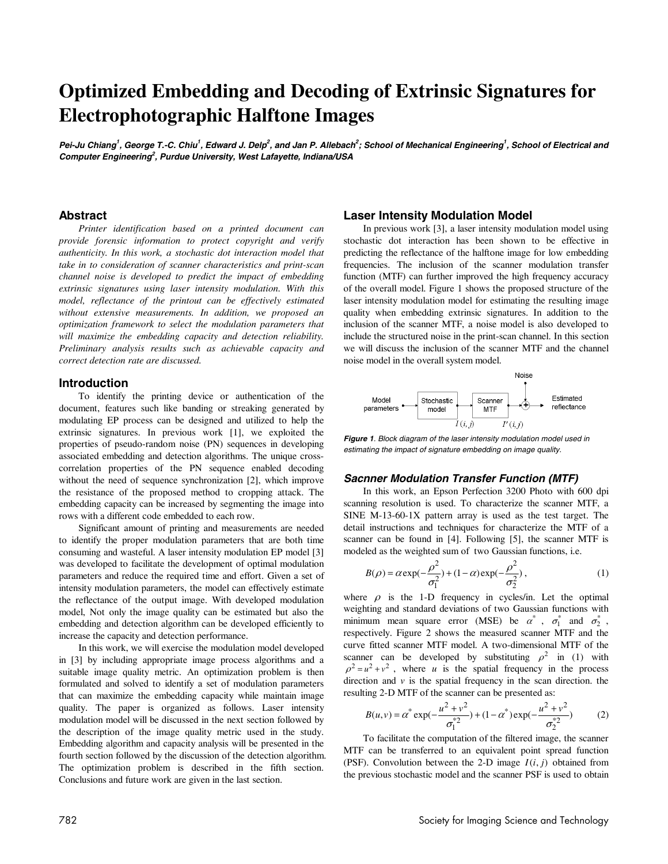# **Optimized Embedding and Decoding of Extrinsic Signatures for Electrophotographic Halftone Images**

Pei-Ju Chiang<sup>1</sup>, George T.-C. Chiu<sup>1</sup>, Edward J. Delp<sup>2</sup>, and Jan P. Allebach<sup>2</sup>; School of Mechanical Engineering<sup>1</sup>, School of Electrical and **Computer Engineering<sup>2</sup> , Purdue University, West Lafayette, Indiana/USA** 

# **Abstract**

*Printer identification based on a printed document can provide forensic information to protect copyright and verify authenticity. In this work, a stochastic dot interaction model that take in to consideration of scanner characteristics and print-scan channel noise is developed to predict the impact of embedding extrinsic signatures using laser intensity modulation. With this model, reflectance of the printout can be effectively estimated without extensive measurements. In addition, we proposed an optimization framework to select the modulation parameters that will maximize the embedding capacity and detection reliability. Preliminary analysis results such as achievable capacity and correct detection rate are discussed.* 

# **Introduction**

To identify the printing device or authentication of the document, features such like banding or streaking generated by modulating EP process can be designed and utilized to help the extrinsic signatures. In previous work [1], we exploited the properties of pseudo-random noise (PN) sequences in developing associated embedding and detection algorithms. The unique crosscorrelation properties of the PN sequence enabled decoding without the need of sequence synchronization [2], which improve the resistance of the proposed method to cropping attack. The embedding capacity can be increased by segmenting the image into rows with a different code embedded to each row.

Significant amount of printing and measurements are needed to identify the proper modulation parameters that are both time consuming and wasteful. A laser intensity modulation EP model [3] was developed to facilitate the development of optimal modulation parameters and reduce the required time and effort. Given a set of intensity modulation parameters, the model can effectively estimate the reflectance of the output image. With developed modulation model, Not only the image quality can be estimated but also the embedding and detection algorithm can be developed efficiently to increase the capacity and detection performance.

In this work, we will exercise the modulation model developed in [3] by including appropriate image process algorithms and a suitable image quality metric. An optimization problem is then formulated and solved to identify a set of modulation parameters that can maximize the embedding capacity while maintain image quality. The paper is organized as follows. Laser intensity modulation model will be discussed in the next section followed by the description of the image quality metric used in the study. Embedding algorithm and capacity analysis will be presented in the fourth section followed by the discussion of the detection algorithm. The optimization problem is described in the fifth section. Conclusions and future work are given in the last section.

# **Laser Intensity Modulation Model**

In previous work [3], a laser intensity modulation model using stochastic dot interaction has been shown to be effective in predicting the reflectance of the halftone image for low embedding frequencies. The inclusion of the scanner modulation transfer function (MTF) can further improved the high frequency accuracy of the overall model. Figure 1 shows the proposed structure of the laser intensity modulation model for estimating the resulting image quality when embedding extrinsic signatures. In addition to the inclusion of the scanner MTF, a noise model is also developed to include the structured noise in the print-scan channel. In this section we will discuss the inclusion of the scanner MTF and the channel noise model in the overall system model.



**Figure 1***. Block diagram of the laser intensity modulation model used in estimating the impact of signature embedding on image quality.* 

## **Sacnner Modulation Transfer Function (MTF)**

In this work, an Epson Perfection 3200 Photo with 600 dpi scanning resolution is used. To characterize the scanner MTF, a SINE M-13-60-1X pattern array is used as the test target. The detail instructions and techniques for characterize the MTF of a scanner can be found in [4]. Following [5], the scanner MTF is modeled as the weighted sum of two Gaussian functions, i.e.

$$
B(\rho) = \alpha \exp(-\frac{\rho^2}{\sigma_1^2}) + (1 - \alpha) \exp(-\frac{\rho^2}{\sigma_2^2}),
$$
 (1)

where  $\rho$  is the 1-D frequency in cycles/in. Let the optimal weighting and standard deviations of two Gaussian functions with minimum mean square error (MSE) be  $\alpha^*$ ,  $\sigma_1^*$  and  $\sigma_2^*$ , respectively. Figure 2 shows the measured scanner MTF and the curve fitted scanner MTF model. A two-dimensional MTF of the scanner can be developed by substituting  $\rho^2$  in (1) with  $\rho^2 = u^2 + v^2$ , where *u* is the spatial frequency in the process direction and  $\nu$  is the spatial frequency in the scan direction. the resulting 2-D MTF of the scanner can be presented as:

$$
B(u,v) = \alpha^* \exp(-\frac{u^2 + v^2}{\sigma_1^{*2}}) + (1 - \alpha^*) \exp(-\frac{u^2 + v^2}{\sigma_2^{*2}})
$$
 (2)

To facilitate the computation of the filtered image, the scanner MTF can be transferred to an equivalent point spread function (PSF). Convolution between the 2-D image  $I(i, j)$  obtained from the previous stochastic model and the scanner PSF is used to obtain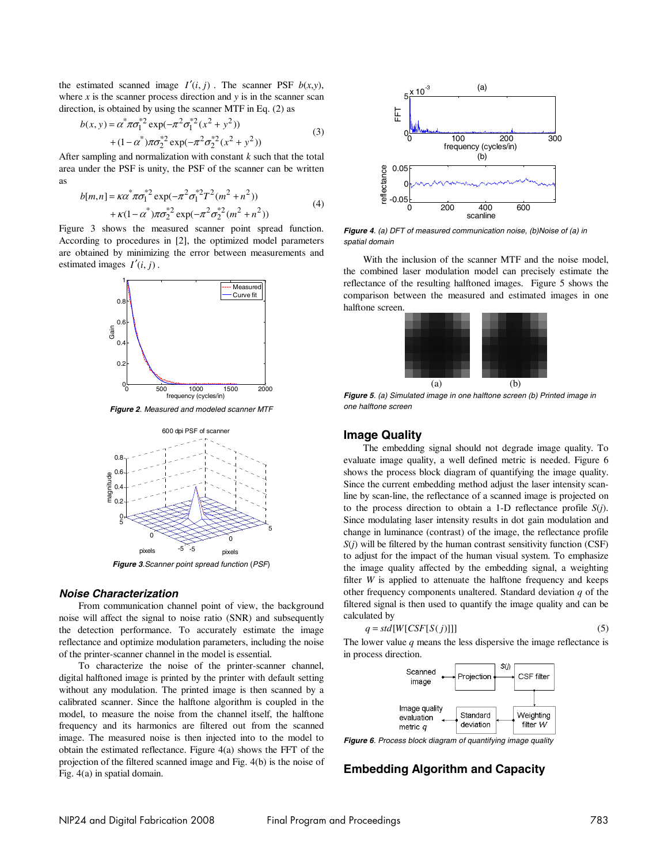the estimated scanned image  $I'(i, j)$ . The scanner PSF  $b(x, y)$ , where  $x$  is the scanner process direction and  $y$  is in the scanner scan direction, is obtained by using the scanner MTF in Eq. (2) as

$$
b(x, y) = \alpha^* \pi \sigma_1^{*2} \exp(-\pi^2 \sigma_1^{*2} (x^2 + y^2))
$$
  
+  $(1 - \alpha^*) \pi \sigma_2^{*2} \exp(-\pi^2 \sigma_2^{*2} (x^2 + y^2))$  (3)

After sampling and normalization with constant *k* such that the total area under the PSF is unity, the PSF of the scanner can be written as

$$
b[m,n] = \kappa \alpha^* \pi \sigma_1^{*2} \exp(-\pi^2 \sigma_1^{*2} T^2 (m^2 + n^2)) + \kappa (1 - \alpha^*) \pi \sigma_2^{*2} \exp(-\pi^2 \sigma_2^{*2} (m^2 + n^2))
$$
 (4)

Figure 3 shows the measured scanner point spread function. According to procedures in [2], the optimized model parameters are obtained by minimizing the error between measurements and estimated images  $I'(i, j)$ .



**Figure 2***. Measured and modeled scanner MTF* 



**Figure 3***.Scanner point spread function* (*PSF*)

# **Noise Characterization**

From communication channel point of view, the background noise will affect the signal to noise ratio (SNR) and subsequently the detection performance. To accurately estimate the image reflectance and optimize modulation parameters, including the noise of the printer-scanner channel in the model is essential.

To characterize the noise of the printer-scanner channel, digital halftoned image is printed by the printer with default setting without any modulation. The printed image is then scanned by a calibrated scanner. Since the halftone algorithm is coupled in the model, to measure the noise from the channel itself, the halftone frequency and its harmonics are filtered out from the scanned image. The measured noise is then injected into to the model to obtain the estimated reflectance. Figure 4(a) shows the FFT of the projection of the filtered scanned image and Fig. 4(b) is the noise of Fig. 4(a) in spatial domain.



**Figure 4***. (a) DFT of measured communication noise, (b)Noise of (a) in spatial domain* 

With the inclusion of the scanner MTF and the noise model, the combined laser modulation model can precisely estimate the reflectance of the resulting halftoned images. Figure 5 shows the comparison between the measured and estimated images in one halftone screen.



**Figure 5***. (a) Simulated image in one halftone screen (b) Printed image in one halftone screen* 

## **Image Quality**

The embedding signal should not degrade image quality. To evaluate image quality, a well defined metric is needed. Figure 6 shows the process block diagram of quantifying the image quality. Since the current embedding method adjust the laser intensity scanline by scan-line, the reflectance of a scanned image is projected on to the process direction to obtain a 1-D reflectance profile *S*(*j*). Since modulating laser intensity results in dot gain modulation and change in luminance (contrast) of the image, the reflectance profile  $S(i)$  will be filtered by the human contrast sensitivity function (CSF) to adjust for the impact of the human visual system. To emphasize the image quality affected by the embedding signal, a weighting filter *W* is applied to attenuate the halftone frequency and keeps other frequency components unaltered. Standard deviation *q* of the filtered signal is then used to quantify the image quality and can be calculated by

$$
q = std[W[CSF[S(j)]]] \tag{5}
$$

The lower value *q* means the less dispersive the image reflectance is in process direction.



**Figure 6***. Process block diagram of quantifying image quality* 

# **Embedding Algorithm and Capacity**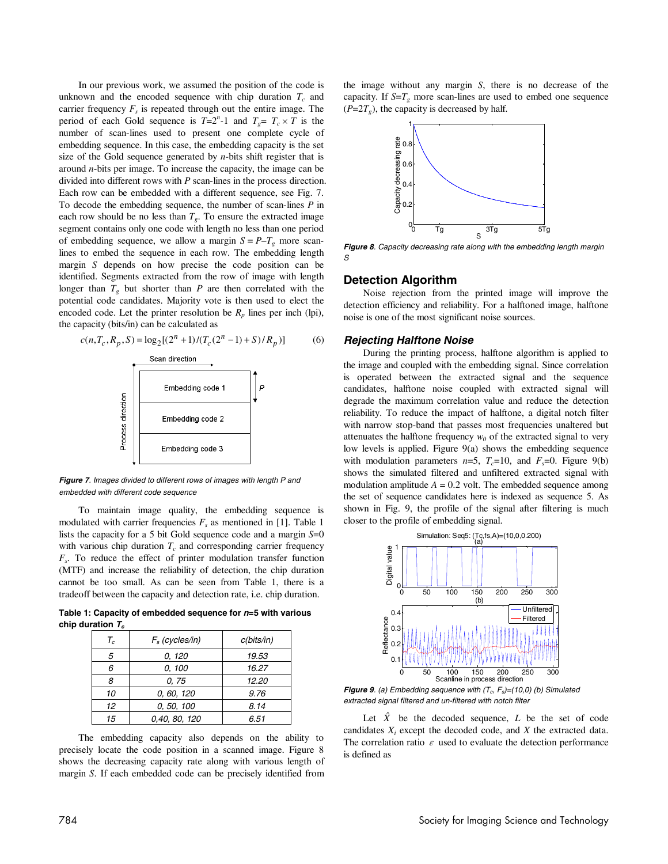In our previous work, we assumed the position of the code is unknown and the encoded sequence with chip duration  $T_c$  and carrier frequency  $F<sub>s</sub>$  is repeated through out the entire image. The period of each Gold sequence is  $T=2^n-1$  and  $T_g = T_c \times T$  is the number of scan-lines used to present one complete cycle of embedding sequence. In this case, the embedding capacity is the set size of the Gold sequence generated by *n*-bits shift register that is around *n*-bits per image. To increase the capacity, the image can be divided into different rows with *P* scan-lines in the process direction. Each row can be embedded with a different sequence, see Fig. 7. To decode the embedding sequence, the number of scan-lines *P* in each row should be no less than  $T_g$ . To ensure the extracted image segment contains only one code with length no less than one period of embedding sequence, we allow a margin  $S = P - T_g$  more scanlines to embed the sequence in each row. The embedding length margin *S* depends on how precise the code position can be identified. Segments extracted from the row of image with length longer than  $T_g$  but shorter than  $P$  are then correlated with the potential code candidates. Majority vote is then used to elect the encoded code. Let the printer resolution be  $R_p$  lines per inch (lpi), the capacity (bits/in) can be calculated as



**Figure 7***. Images divided to different rows of images with length P and embedded with different code sequence* 

To maintain image quality, the embedding sequence is modulated with carrier frequencies  $F_s$  as mentioned in [1]. Table 1 lists the capacity for a 5 bit Gold sequence code and a margin *S*=0 with various chip duration  $T_c$  and corresponding carrier frequency *Fs*. To reduce the effect of printer modulation transfer function (MTF) and increase the reliability of detection, the chip duration cannot be too small. As can be seen from Table 1, there is a tradeoff between the capacity and detection rate, i.e. chip duration.

**Table 1: Capacity of embedded sequence for n=5 with various chip duration T<sup>c</sup>**

| $T_c$ | $F_s$ (cycles/in) | c(bits/in) |
|-------|-------------------|------------|
| 5     | 0, 120            | 19.53      |
| 6     | 0, 100            | 16.27      |
| 8     | 0.75              | 12.20      |
| 10    | 0, 60, 120        | 9.76       |
| 12    | 0, 50, 100        | 8.14       |
| 15    | 0.40, 80, 120     | 6.51       |

The embedding capacity also depends on the ability to precisely locate the code position in a scanned image. Figure 8 shows the decreasing capacity rate along with various length of margin *S*. If each embedded code can be precisely identified from the image without any margin *S*, there is no decrease of the capacity. If  $S=T_g$  more scan-lines are used to embed one sequence  $(P=2T_g)$ , the capacity is decreased by half.



**Figure 8***. Capacity decreasing rate along with the embedding length margin S* 

#### **Detection Algorithm**

Noise rejection from the printed image will improve the detection efficiency and reliability. For a halftoned image, halftone noise is one of the most significant noise sources.

# **Rejecting Halftone Noise**

During the printing process, halftone algorithm is applied to the image and coupled with the embedding signal. Since correlation is operated between the extracted signal and the sequence candidates, halftone noise coupled with extracted signal will degrade the maximum correlation value and reduce the detection reliability. To reduce the impact of halftone, a digital notch filter with narrow stop-band that passes most frequencies unaltered but attenuates the halftone frequency  $w_0$  of the extracted signal to very low levels is applied. Figure 9(a) shows the embedding sequence with modulation parameters  $n=5$ ,  $T_c=10$ , and  $F_s=0$ . Figure 9(b) shows the simulated filtered and unfiltered extracted signal with modulation amplitude  $A = 0.2$  volt. The embedded sequence among the set of sequence candidates here is indexed as sequence 5. As shown in Fig. 9, the profile of the signal after filtering is much closer to the profile of embedding signal.



**Figure 9***. (a) Embedding sequence with (Tc, Fs)=(10,0) (b) Simulated extracted signal filtered and un-filtered with notch filter* 

Let  $\hat{X}$  be the decoded sequence,  $L$  be the set of code candidates *Xi* except the decoded code, and *X* the extracted data. The correlation ratio  $\varepsilon$  used to evaluate the detection performance is defined as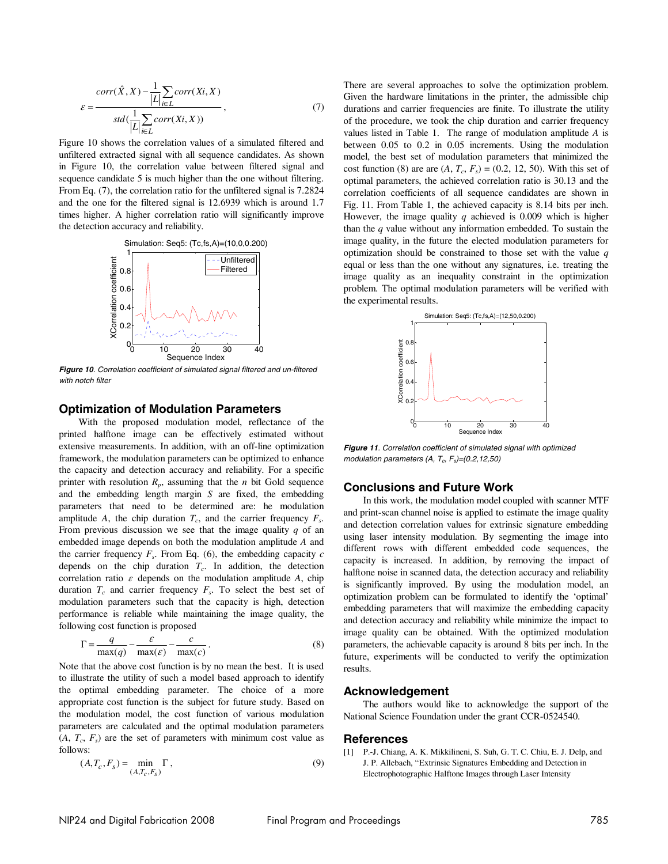$$
\varepsilon = \frac{corr(\hat{X}, X) - \frac{1}{|L|} \sum_{i \in L} corr(Xi, X)}{std(\frac{1}{|L|} \sum_{i \in L} corr(Xi, X))},
$$
\n(7)

Figure 10 shows the correlation values of a simulated filtered and unfiltered extracted signal with all sequence candidates. As shown in Figure 10, the correlation value between filtered signal and sequence candidate 5 is much higher than the one without filtering. From Eq. (7), the correlation ratio for the unfiltered signal is 7.2824 and the one for the filtered signal is 12.6939 which is around 1.7 times higher. A higher correlation ratio will significantly improve the detection accuracy and reliability.



**Figure 10***. Correlation coefficient of simulated signal filtered and un-filtered with notch filter* 

# **Optimization of Modulation Parameters**

With the proposed modulation model, reflectance of the printed halftone image can be effectively estimated without extensive measurements. In addition, with an off-line optimization framework, the modulation parameters can be optimized to enhance the capacity and detection accuracy and reliability. For a specific printer with resolution  $R_p$ , assuming that the *n* bit Gold sequence and the embedding length margin *S* are fixed, the embedding parameters that need to be determined are: he modulation amplitude *A*, the chip duration  $T_c$ , and the carrier frequency  $F_s$ . From previous discussion we see that the image quality *q* of an embedded image depends on both the modulation amplitude *A* and the carrier frequency  $F_s$ . From Eq. (6), the embedding capacity  $c$ depends on the chip duration  $T_c$ . In addition, the detection correlation ratio  $\varepsilon$  depends on the modulation amplitude A, chip duration  $T_c$  and carrier frequency  $F_s$ . To select the best set of modulation parameters such that the capacity is high, detection performance is reliable while maintaining the image quality, the following cost function is proposed

$$
\Gamma = \frac{q}{\max(q)} - \frac{\varepsilon}{\max(\varepsilon)} - \frac{c}{\max(c)}.
$$
 (8)

Note that the above cost function is by no mean the best. It is used to illustrate the utility of such a model based approach to identify the optimal embedding parameter. The choice of a more appropriate cost function is the subject for future study. Based on the modulation model, the cost function of various modulation parameters are calculated and the optimal modulation parameters  $(A, T_c, F_s)$  are the set of parameters with minimum cost value as follows:

$$
(A, T_c, F_s) = \min_{(A, T_c, F_s)} \Gamma,\tag{9}
$$

There are several approaches to solve the optimization problem. Given the hardware limitations in the printer, the admissible chip durations and carrier frequencies are finite. To illustrate the utility of the procedure, we took the chip duration and carrier frequency values listed in Table 1. The range of modulation amplitude *A* is between 0.05 to 0.2 in 0.05 increments. Using the modulation model, the best set of modulation parameters that minimized the cost function (8) are are  $(A, T_c, F_s) = (0.2, 12, 50)$ . With this set of optimal parameters, the achieved correlation ratio is 30.13 and the correlation coefficients of all sequence candidates are shown in Fig. 11. From Table 1, the achieved capacity is 8.14 bits per inch. However, the image quality *q* achieved is 0.009 which is higher than the *q* value without any information embedded. To sustain the image quality, in the future the elected modulation parameters for optimization should be constrained to those set with the value *q* equal or less than the one without any signatures, i.e. treating the image quality as an inequality constraint in the optimization problem. The optimal modulation parameters will be verified with the experimental results.



**Figure 11***. Correlation coefficient of simulated signal with optimized modulation parameters (A, T<sub>c</sub>, F<sub>s</sub>)=(0.2,12,50)* 

# **Conclusions and Future Work**

In this work, the modulation model coupled with scanner MTF and print-scan channel noise is applied to estimate the image quality and detection correlation values for extrinsic signature embedding using laser intensity modulation. By segmenting the image into different rows with different embedded code sequences, the capacity is increased. In addition, by removing the impact of halftone noise in scanned data, the detection accuracy and reliability is significantly improved. By using the modulation model, an optimization problem can be formulated to identify the 'optimal' embedding parameters that will maximize the embedding capacity and detection accuracy and reliability while minimize the impact to image quality can be obtained. With the optimized modulation parameters, the achievable capacity is around 8 bits per inch. In the future, experiments will be conducted to verify the optimization results.

## **Acknowledgement**

The authors would like to acknowledge the support of the National Science Foundation under the grant CCR-0524540.

#### **References**

[1] P.-J. Chiang, A. K. Mikkilineni, S. Suh, G. T. C. Chiu, E. J. Delp, and J. P. Allebach, "Extrinsic Signatures Embedding and Detection in Electrophotographic Halftone Images through Laser Intensity